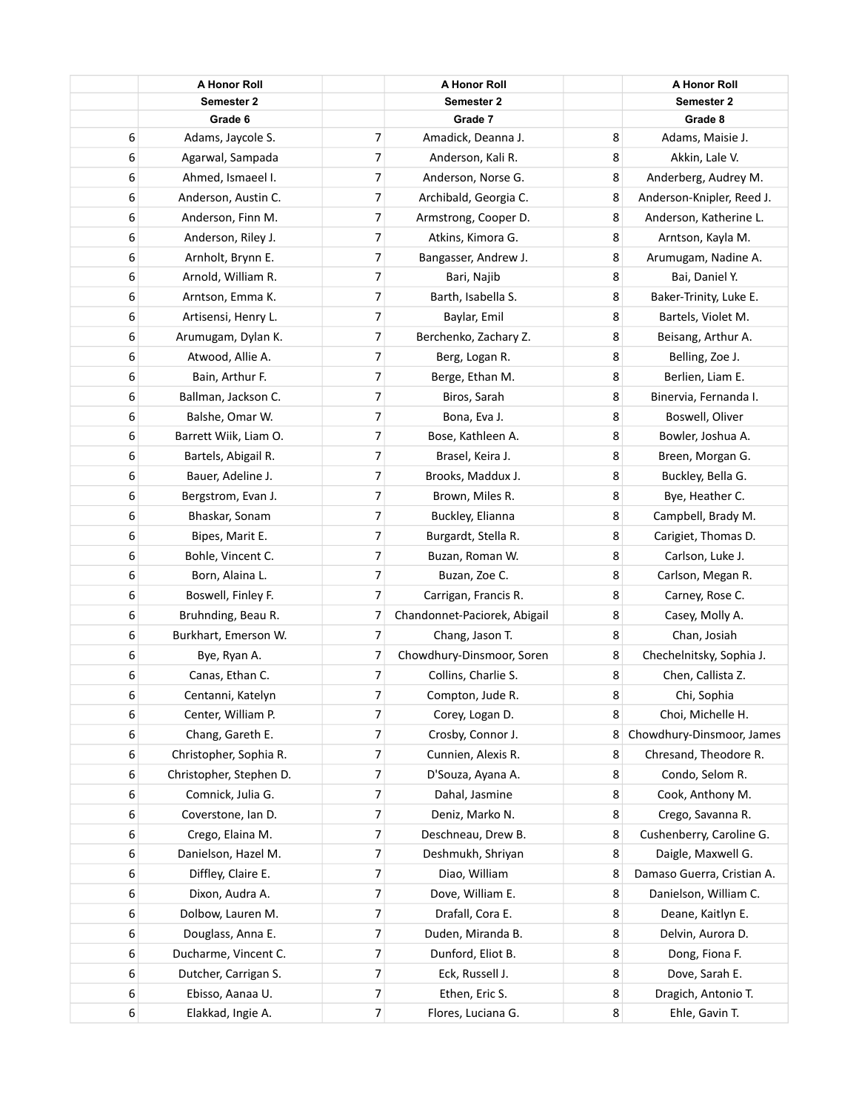|   | <b>A Honor Roll</b>     |                          | <b>A Honor Roll</b>          |   | <b>A Honor Roll</b>        |
|---|-------------------------|--------------------------|------------------------------|---|----------------------------|
|   | Semester 2              |                          | Semester 2                   |   | Semester 2                 |
|   | Grade 6                 |                          | Grade 7                      |   | Grade 8                    |
| 6 | Adams, Jaycole S.       | 7                        | Amadick, Deanna J.           | 8 | Adams, Maisie J.           |
| 6 | Agarwal, Sampada        | 7                        | Anderson, Kali R.            | 8 | Akkin, Lale V.             |
| 6 | Ahmed, Ismaeel I.       | 7                        | Anderson, Norse G.           | 8 | Anderberg, Audrey M.       |
| 6 | Anderson, Austin C.     | 7                        | Archibald, Georgia C.        | 8 | Anderson-Knipler, Reed J.  |
| 6 | Anderson, Finn M.       | 7                        | Armstrong, Cooper D.         | 8 | Anderson, Katherine L.     |
| 6 | Anderson, Riley J.      | 7                        | Atkins, Kimora G.            | 8 | Arntson, Kayla M.          |
| 6 | Arnholt, Brynn E.       | 7                        | Bangasser, Andrew J.         | 8 | Arumugam, Nadine A.        |
| 6 | Arnold, William R.      | 7                        | Bari, Najib                  | 8 | Bai, Daniel Y.             |
| 6 | Arntson, Emma K.        | 7                        | Barth, Isabella S.           | 8 | Baker-Trinity, Luke E.     |
| 6 | Artisensi, Henry L.     | 7                        | Baylar, Emil                 | 8 | Bartels, Violet M.         |
| 6 | Arumugam, Dylan K.      | 7                        | Berchenko, Zachary Z.        | 8 | Beisang, Arthur A.         |
| 6 | Atwood, Allie A.        | 7                        | Berg, Logan R.               | 8 | Belling, Zoe J.            |
| 6 | Bain, Arthur F.         | 7                        | Berge, Ethan M.              | 8 | Berlien, Liam E.           |
| 6 | Ballman, Jackson C.     | 7                        | Biros, Sarah                 | 8 | Binervia, Fernanda I.      |
| 6 | Balshe, Omar W.         | 7                        | Bona, Eva J.                 | 8 | Boswell, Oliver            |
| 6 | Barrett Wiik, Liam O.   | 7                        | Bose, Kathleen A.            | 8 | Bowler, Joshua A.          |
| 6 | Bartels, Abigail R.     | $\overline{7}$           | Brasel, Keira J.             | 8 | Breen, Morgan G.           |
| 6 | Bauer, Adeline J.       | 7                        | Brooks, Maddux J.            | 8 | Buckley, Bella G.          |
| 6 | Bergstrom, Evan J.      | $\overline{\mathcal{I}}$ | Brown, Miles R.              | 8 | Bye, Heather C.            |
| 6 | Bhaskar, Sonam          | 7                        | Buckley, Elianna             | 8 | Campbell, Brady M.         |
| 6 | Bipes, Marit E.         | 7                        | Burgardt, Stella R.          | 8 | Carigiet, Thomas D.        |
| 6 | Bohle, Vincent C.       | 7                        | Buzan, Roman W.              | 8 | Carlson, Luke J.           |
| 6 | Born, Alaina L.         | 7                        | Buzan, Zoe C.                | 8 | Carlson, Megan R.          |
| 6 | Boswell, Finley F.      | 7                        | Carrigan, Francis R.         | 8 | Carney, Rose C.            |
| 6 | Bruhnding, Beau R.      | 7                        | Chandonnet-Paciorek, Abigail | 8 | Casey, Molly A.            |
| 6 | Burkhart, Emerson W.    | 7                        | Chang, Jason T.              | 8 | Chan, Josiah               |
| 6 | Bye, Ryan A.            | 7                        | Chowdhury-Dinsmoor, Soren    | 8 | Chechelnitsky, Sophia J.   |
| 6 | Canas, Ethan C.         | 7                        | Collins, Charlie S.          | 8 | Chen, Callista Z.          |
| 6 | Centanni, Katelyn       | 7                        | Compton, Jude R.             | 8 | Chi, Sophia                |
| 6 | Center, William P.      | 7                        | Corey, Logan D.              | 8 | Choi, Michelle H.          |
| 6 | Chang, Gareth E.        | 7                        | Crosby, Connor J.            | 8 | Chowdhury-Dinsmoor, James  |
| 6 | Christopher, Sophia R.  | 7                        | Cunnien, Alexis R.           | 8 | Chresand, Theodore R.      |
| 6 | Christopher, Stephen D. | 7                        | D'Souza, Ayana A.            | 8 | Condo, Selom R.            |
| 6 | Comnick, Julia G.       | 7                        | Dahal, Jasmine               | 8 | Cook, Anthony M.           |
| 6 | Coverstone, Ian D.      | 7                        | Deniz, Marko N.              | 8 | Crego, Savanna R.          |
| 6 | Crego, Elaina M.        | 7                        | Deschneau, Drew B.           | 8 | Cushenberry, Caroline G.   |
| 6 | Danielson, Hazel M.     | 7                        | Deshmukh, Shriyan            | 8 | Daigle, Maxwell G.         |
| 6 | Diffley, Claire E.      | 7                        | Diao, William                | 8 | Damaso Guerra, Cristian A. |
| 6 | Dixon, Audra A.         | 7                        | Dove, William E.             | 8 | Danielson, William C.      |
| 6 | Dolbow, Lauren M.       | 7                        | Drafall, Cora E.             | 8 | Deane, Kaitlyn E.          |
| 6 | Douglass, Anna E.       | 7                        | Duden, Miranda B.            | 8 | Delvin, Aurora D.          |
| 6 | Ducharme, Vincent C.    | 7                        | Dunford, Eliot B.            | 8 | Dong, Fiona F.             |
| 6 | Dutcher, Carrigan S.    | 7                        | Eck, Russell J.              | 8 | Dove, Sarah E.             |
| 6 | Ebisso, Aanaa U.        | 7                        | Ethen, Eric S.               | 8 | Dragich, Antonio T.        |
| 6 | Elakkad, Ingie A.       | $\overline{7}$           | Flores, Luciana G.           | 8 | Ehle, Gavin T.             |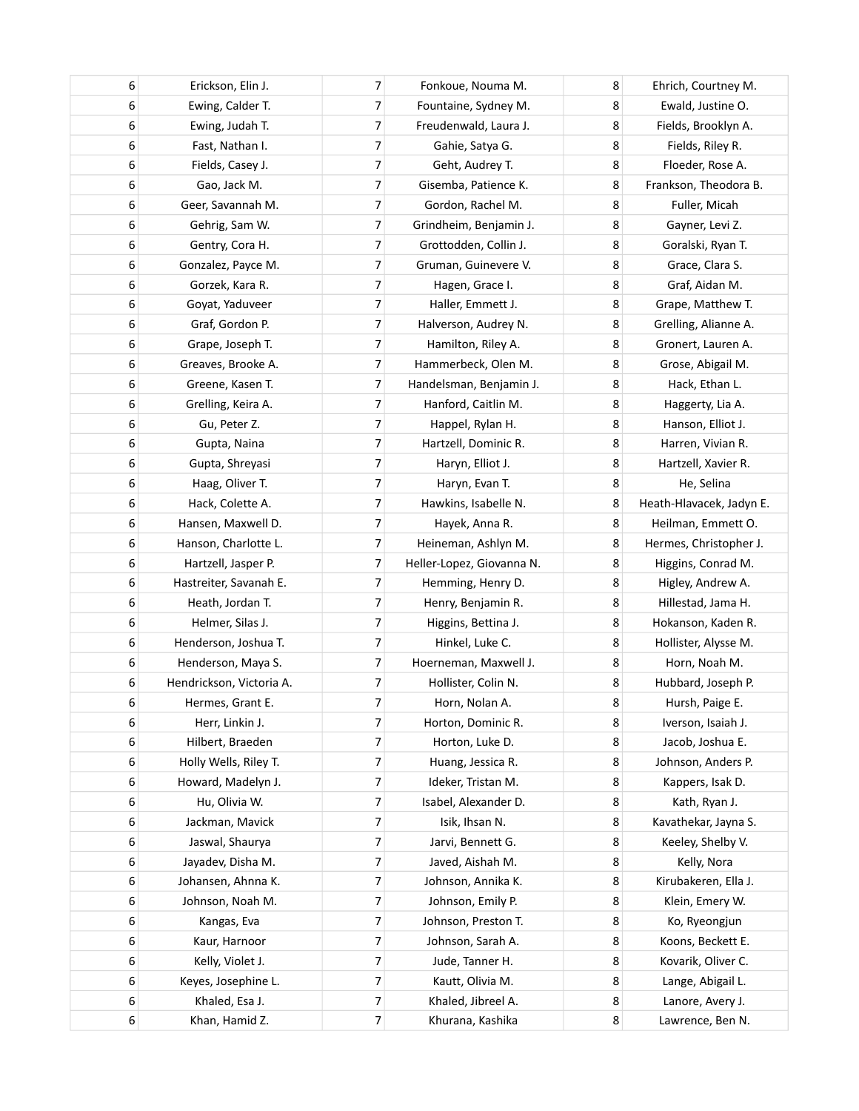| 6 | Erickson, Elin J.        | 7 | Fonkoue, Nouma M.         | 8 | Ehrich, Courtney M.      |
|---|--------------------------|---|---------------------------|---|--------------------------|
| 6 | Ewing, Calder T.         | 7 | Fountaine, Sydney M.      | 8 | Ewald, Justine O.        |
| 6 | Ewing, Judah T.          | 7 | Freudenwald, Laura J.     | 8 | Fields, Brooklyn A.      |
| 6 | Fast, Nathan I.          | 7 | Gahie, Satya G.           | 8 | Fields, Riley R.         |
| 6 | Fields, Casey J.         | 7 | Geht, Audrey T.           | 8 | Floeder, Rose A.         |
| 6 | Gao, Jack M.             | 7 | Gisemba, Patience K.      | 8 | Frankson, Theodora B.    |
| 6 | Geer, Savannah M.        | 7 | Gordon, Rachel M.         | 8 | Fuller, Micah            |
| 6 | Gehrig, Sam W.           | 7 | Grindheim, Benjamin J.    | 8 | Gayner, Levi Z.          |
| 6 | Gentry, Cora H.          | 7 | Grottodden, Collin J.     | 8 | Goralski, Ryan T.        |
| 6 | Gonzalez, Payce M.       | 7 | Gruman, Guinevere V.      | 8 | Grace, Clara S.          |
| 6 | Gorzek, Kara R.          | 7 | Hagen, Grace I.           | 8 | Graf, Aidan M.           |
| 6 | Goyat, Yaduveer          | 7 | Haller, Emmett J.         | 8 | Grape, Matthew T.        |
| 6 | Graf, Gordon P.          | 7 | Halverson, Audrey N.      | 8 | Grelling, Alianne A.     |
| 6 | Grape, Joseph T.         | 7 | Hamilton, Riley A.        | 8 | Gronert, Lauren A.       |
| 6 | Greaves, Brooke A.       | 7 | Hammerbeck, Olen M.       | 8 | Grose, Abigail M.        |
| 6 | Greene, Kasen T.         | 7 | Handelsman, Benjamin J.   | 8 | Hack, Ethan L.           |
| 6 | Grelling, Keira A.       | 7 | Hanford, Caitlin M.       | 8 | Haggerty, Lia A.         |
| 6 | Gu, Peter Z.             | 7 | Happel, Rylan H.          | 8 | Hanson, Elliot J.        |
| 6 | Gupta, Naina             | 7 | Hartzell, Dominic R.      | 8 | Harren, Vivian R.        |
| 6 | Gupta, Shreyasi          | 7 | Haryn, Elliot J.          | 8 | Hartzell, Xavier R.      |
| 6 | Haag, Oliver T.          | 7 | Haryn, Evan T.            | 8 | He, Selina               |
| 6 | Hack, Colette A.         | 7 | Hawkins, Isabelle N.      | 8 | Heath-Hlavacek, Jadyn E. |
| 6 | Hansen, Maxwell D.       | 7 | Hayek, Anna R.            | 8 | Heilman, Emmett O.       |
| 6 | Hanson, Charlotte L.     | 7 | Heineman, Ashlyn M.       | 8 | Hermes, Christopher J.   |
| 6 | Hartzell, Jasper P.      | 7 | Heller-Lopez, Giovanna N. | 8 | Higgins, Conrad M.       |
| 6 | Hastreiter, Savanah E.   | 7 | Hemming, Henry D.         | 8 | Higley, Andrew A.        |
| 6 | Heath, Jordan T.         | 7 | Henry, Benjamin R.        | 8 | Hillestad, Jama H.       |
| 6 | Helmer, Silas J.         | 7 | Higgins, Bettina J.       | 8 | Hokanson, Kaden R.       |
| 6 | Henderson, Joshua T.     | 7 | Hinkel, Luke C.           | 8 | Hollister, Alysse M.     |
| 6 | Henderson, Maya S.       | 7 | Hoerneman, Maxwell J.     | 8 | Horn, Noah M.            |
| 6 | Hendrickson, Victoria A. | 7 | Hollister, Colin N.       | 8 | Hubbard, Joseph P.       |
| 6 | Hermes, Grant E.         | 7 | Horn, Nolan A.            | 8 | Hursh, Paige E.          |
| 6 | Herr, Linkin J.          | 7 | Horton, Dominic R.        | 8 | Iverson, Isaiah J.       |
| 6 | Hilbert, Braeden         | 7 | Horton, Luke D.           | 8 | Jacob, Joshua E.         |
| 6 | Holly Wells, Riley T.    | 7 | Huang, Jessica R.         | 8 | Johnson, Anders P.       |
| 6 | Howard, Madelyn J.       | 7 | Ideker, Tristan M.        | 8 | Kappers, Isak D.         |
| 6 | Hu, Olivia W.            | 7 | Isabel, Alexander D.      | 8 | Kath, Ryan J.            |
| 6 | Jackman, Mavick          | 7 | Isik, Ihsan N.            | 8 | Kavathekar, Jayna S.     |
| 6 | Jaswal, Shaurya          | 7 | Jarvi, Bennett G.         | 8 | Keeley, Shelby V.        |
| 6 | Jayadev, Disha M.        | 7 | Javed, Aishah M.          | 8 | Kelly, Nora              |
| 6 | Johansen, Ahnna K.       | 7 | Johnson, Annika K.        | 8 | Kirubakeren, Ella J.     |
| 6 | Johnson, Noah M.         | 7 | Johnson, Emily P.         | 8 | Klein, Emery W.          |
| 6 | Kangas, Eva              | 7 | Johnson, Preston T.       | 8 | Ko, Ryeongjun            |
| 6 | Kaur, Harnoor            | 7 | Johnson, Sarah A.         | 8 | Koons, Beckett E.        |
| 6 | Kelly, Violet J.         | 7 | Jude, Tanner H.           | 8 | Kovarik, Oliver C.       |
| 6 | Keyes, Josephine L.      | 7 | Kautt, Olivia M.          | 8 | Lange, Abigail L.        |
| 6 | Khaled, Esa J.           | 7 | Khaled, Jibreel A.        | 8 | Lanore, Avery J.         |
| 6 | Khan, Hamid Z.           | 7 | Khurana, Kashika          | 8 | Lawrence, Ben N.         |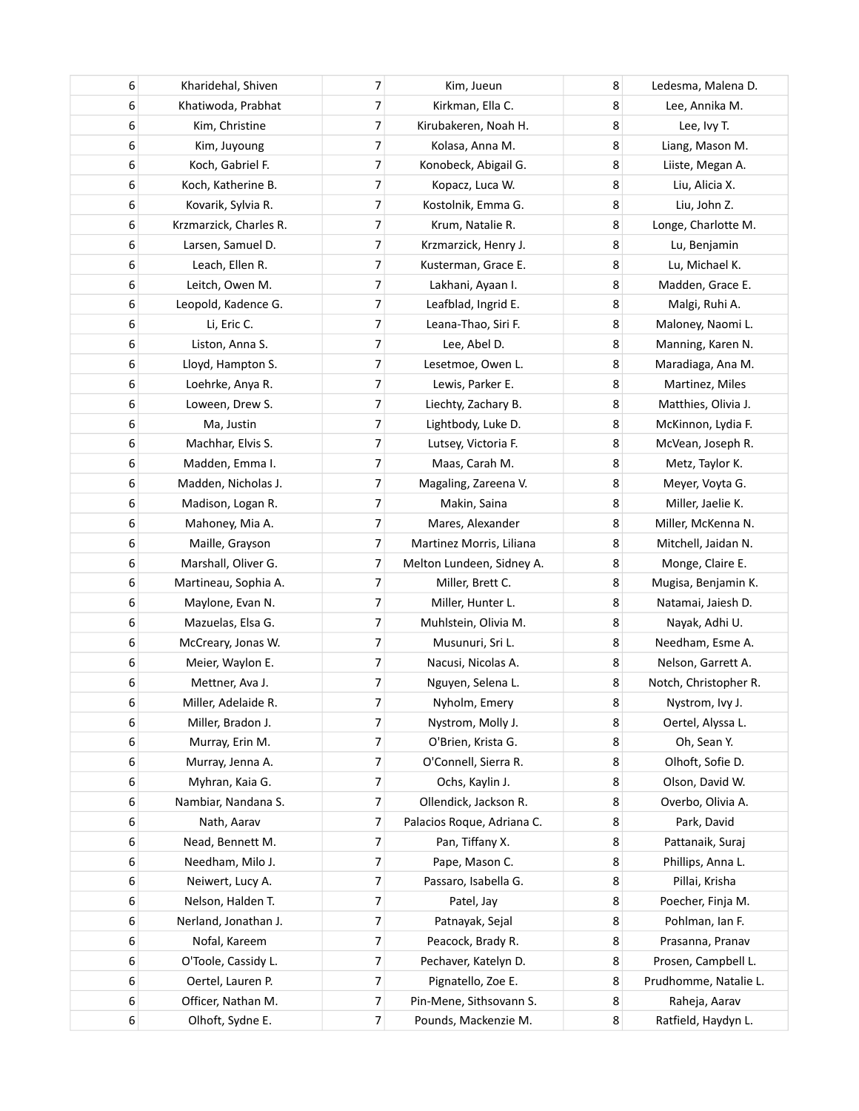| 6 | Kharidehal, Shiven     | 7 | Kim, Jueun                 | 8 | Ledesma, Malena D.    |
|---|------------------------|---|----------------------------|---|-----------------------|
| 6 | Khatiwoda, Prabhat     | 7 | Kirkman, Ella C.           | 8 | Lee, Annika M.        |
| 6 | Kim, Christine         | 7 | Kirubakeren, Noah H.       | 8 | Lee, Ivy T.           |
| 6 | Kim, Juyoung           | 7 | Kolasa, Anna M.            | 8 | Liang, Mason M.       |
| 6 | Koch, Gabriel F.       | 7 | Konobeck, Abigail G.       | 8 | Liiste, Megan A.      |
| 6 | Koch, Katherine B.     | 7 | Kopacz, Luca W.            | 8 | Liu, Alicia X.        |
| 6 | Kovarik, Sylvia R.     | 7 | Kostolnik, Emma G.         | 8 | Liu, John Z.          |
| 6 | Krzmarzick, Charles R. | 7 | Krum, Natalie R.           | 8 | Longe, Charlotte M.   |
| 6 | Larsen, Samuel D.      | 7 | Krzmarzick, Henry J.       | 8 | Lu, Benjamin          |
| 6 | Leach, Ellen R.        | 7 | Kusterman, Grace E.        | 8 | Lu, Michael K.        |
| 6 | Leitch, Owen M.        | 7 | Lakhani, Ayaan I.          | 8 | Madden, Grace E.      |
| 6 | Leopold, Kadence G.    | 7 | Leafblad, Ingrid E.        | 8 | Malgi, Ruhi A.        |
| 6 | Li, Eric C.            | 7 | Leana-Thao, Siri F.        | 8 | Maloney, Naomi L.     |
| 6 | Liston, Anna S.        | 7 | Lee, Abel D.               | 8 | Manning, Karen N.     |
| 6 | Lloyd, Hampton S.      | 7 | Lesetmoe, Owen L.          | 8 | Maradiaga, Ana M.     |
| 6 | Loehrke, Anya R.       | 7 | Lewis, Parker E.           | 8 | Martinez, Miles       |
| 6 | Loween, Drew S.        | 7 | Liechty, Zachary B.        | 8 | Matthies, Olivia J.   |
| 6 | Ma, Justin             | 7 | Lightbody, Luke D.         | 8 | McKinnon, Lydia F.    |
| 6 | Machhar, Elvis S.      | 7 | Lutsey, Victoria F.        | 8 | McVean, Joseph R.     |
| 6 | Madden, Emma I.        | 7 | Maas, Carah M.             | 8 | Metz, Taylor K.       |
| 6 | Madden, Nicholas J.    | 7 | Magaling, Zareena V.       | 8 | Meyer, Voyta G.       |
| 6 | Madison, Logan R.      | 7 | Makin, Saina               | 8 | Miller, Jaelie K.     |
| 6 | Mahoney, Mia A.        | 7 | Mares, Alexander           | 8 | Miller, McKenna N.    |
| 6 | Maille, Grayson        | 7 | Martinez Morris, Liliana   | 8 | Mitchell, Jaidan N.   |
| 6 | Marshall, Oliver G.    | 7 | Melton Lundeen, Sidney A.  | 8 | Monge, Claire E.      |
| 6 | Martineau, Sophia A.   | 7 | Miller, Brett C.           | 8 | Mugisa, Benjamin K.   |
| 6 | Maylone, Evan N.       | 7 | Miller, Hunter L.          | 8 | Natamai, Jaiesh D.    |
| 6 | Mazuelas, Elsa G.      | 7 | Muhlstein, Olivia M.       | 8 | Nayak, Adhi U.        |
| 6 | McCreary, Jonas W.     | 7 | Musunuri, Sri L.           | 8 | Needham, Esme A.      |
| 6 | Meier, Waylon E.       | 7 | Nacusi, Nicolas A.         | 8 | Nelson, Garrett A.    |
| 6 | Mettner, Ava J.        | 7 | Nguyen, Selena L.          | 8 | Notch, Christopher R. |
| 6 | Miller, Adelaide R.    | 7 | Nyholm, Emery              | 8 | Nystrom, Ivy J.       |
| 6 | Miller, Bradon J.      | 7 | Nystrom, Molly J.          | 8 | Oertel, Alyssa L.     |
| 6 | Murray, Erin M.        | 7 | O'Brien, Krista G.         | 8 | Oh, Sean Y.           |
| 6 | Murray, Jenna A.       | 7 | O'Connell, Sierra R.       | 8 | Olhoft, Sofie D.      |
| 6 | Myhran, Kaia G.        | 7 | Ochs, Kaylin J.            | 8 | Olson, David W.       |
| 6 | Nambiar, Nandana S.    | 7 | Ollendick, Jackson R.      | 8 | Overbo, Olivia A.     |
| 6 | Nath, Aarav            | 7 | Palacios Roque, Adriana C. | 8 | Park, David           |
| 6 | Nead, Bennett M.       | 7 | Pan, Tiffany X.            | 8 | Pattanaik, Suraj      |
| 6 | Needham, Milo J.       | 7 | Pape, Mason C.             | 8 | Phillips, Anna L.     |
| 6 | Neiwert, Lucy A.       | 7 | Passaro, Isabella G.       | 8 | Pillai, Krisha        |
| 6 | Nelson, Halden T.      | 7 | Patel, Jay                 | 8 | Poecher, Finja M.     |
| 6 | Nerland, Jonathan J.   | 7 | Patnayak, Sejal            | 8 | Pohlman, Ian F.       |
| 6 | Nofal, Kareem          | 7 | Peacock, Brady R.          | 8 | Prasanna, Pranav      |
| 6 | O'Toole, Cassidy L.    | 7 | Pechaver, Katelyn D.       | 8 | Prosen, Campbell L.   |
| 6 | Oertel, Lauren P.      | 7 | Pignatello, Zoe E.         | 8 | Prudhomme, Natalie L. |
| 6 | Officer, Nathan M.     | 7 | Pin-Mene, Sithsovann S.    | 8 | Raheja, Aarav         |
| 6 | Olhoft, Sydne E.       | 7 | Pounds, Mackenzie M.       | 8 | Ratfield, Haydyn L.   |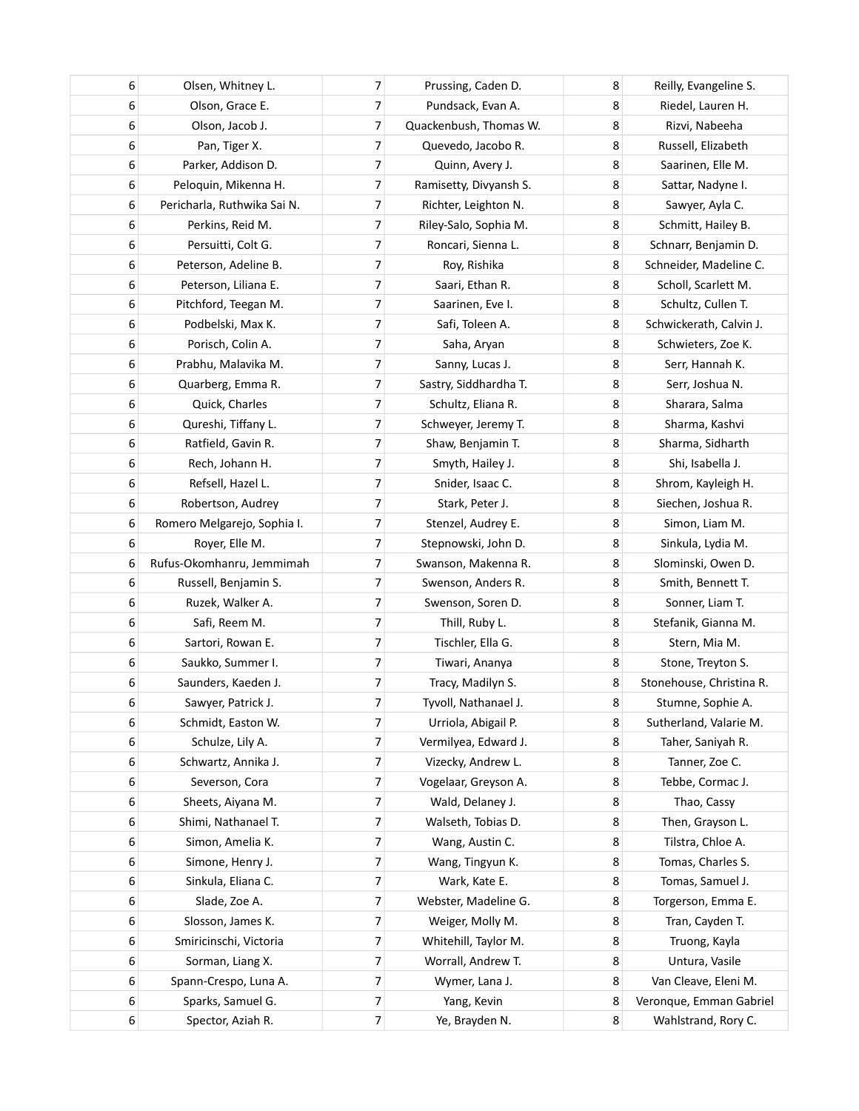| 6 | Olsen, Whitney L.           | 7                        | Prussing, Caden D.     | 8 | Reilly, Evangeline S.    |
|---|-----------------------------|--------------------------|------------------------|---|--------------------------|
| 6 | Olson, Grace E.             | 7                        | Pundsack, Evan A.      | 8 | Riedel, Lauren H.        |
| 6 | Olson, Jacob J.             | 7                        | Quackenbush, Thomas W. | 8 | Rizvi, Nabeeha           |
| 6 | Pan, Tiger X.               | 7                        | Quevedo, Jacobo R.     | 8 | Russell, Elizabeth       |
| 6 | Parker, Addison D.          | 7                        | Quinn, Avery J.        | 8 | Saarinen, Elle M.        |
| 6 | Peloquin, Mikenna H.        | 7                        | Ramisetty, Divyansh S. | 8 | Sattar, Nadyne I.        |
| 6 | Pericharla, Ruthwika Sai N. | 7                        | Richter, Leighton N.   | 8 | Sawyer, Ayla C.          |
| 6 | Perkins, Reid M.            | 7                        | Riley-Salo, Sophia M.  | 8 | Schmitt, Hailey B.       |
| 6 | Persuitti, Colt G.          | 7                        | Roncari, Sienna L.     | 8 | Schnarr, Benjamin D.     |
| 6 | Peterson, Adeline B.        | 7                        | Roy, Rishika           | 8 | Schneider, Madeline C.   |
| 6 | Peterson, Liliana E.        | 7                        | Saari, Ethan R.        | 8 | Scholl, Scarlett M.      |
| 6 | Pitchford, Teegan M.        | 7                        | Saarinen, Eve I.       | 8 | Schultz, Cullen T.       |
| 6 | Podbelski, Max K.           | $\overline{\mathcal{I}}$ | Safi, Toleen A.        | 8 | Schwickerath, Calvin J.  |
| 6 | Porisch, Colin A.           | 7                        | Saha, Aryan            | 8 | Schwieters, Zoe K.       |
| 6 | Prabhu, Malavika M.         | 7                        | Sanny, Lucas J.        | 8 | Serr, Hannah K.          |
| 6 | Quarberg, Emma R.           | 7                        | Sastry, Siddhardha T.  | 8 | Serr, Joshua N.          |
| 6 | Quick, Charles              | 7                        | Schultz, Eliana R.     | 8 | Sharara, Salma           |
| 6 | Qureshi, Tiffany L.         | 7                        | Schweyer, Jeremy T.    | 8 | Sharma, Kashvi           |
| 6 | Ratfield, Gavin R.          | 7                        | Shaw, Benjamin T.      | 8 | Sharma, Sidharth         |
| 6 | Rech, Johann H.             | 7                        | Smyth, Hailey J.       | 8 | Shi, Isabella J.         |
| 6 | Refsell, Hazel L.           | 7                        | Snider, Isaac C.       | 8 | Shrom, Kayleigh H.       |
| 6 | Robertson, Audrey           | 7                        | Stark, Peter J.        | 8 | Siechen, Joshua R.       |
| 6 | Romero Melgarejo, Sophia I. | 7                        | Stenzel, Audrey E.     | 8 | Simon, Liam M.           |
| 6 | Royer, Elle M.              | 7                        | Stepnowski, John D.    | 8 | Sinkula, Lydia M.        |
| 6 | Rufus-Okomhanru, Jemmimah   | 7                        | Swanson, Makenna R.    | 8 | Slominski, Owen D.       |
| 6 | Russell, Benjamin S.        | 7                        | Swenson, Anders R.     | 8 | Smith, Bennett T.        |
| 6 | Ruzek, Walker A.            | 7                        | Swenson, Soren D.      | 8 | Sonner, Liam T.          |
| 6 | Safi, Reem M.               | $\overline{7}$           | Thill, Ruby L.         | 8 | Stefanik, Gianna M.      |
| 6 | Sartori, Rowan E.           | 7                        | Tischler, Ella G.      | 8 | Stern, Mia M.            |
| 6 | Saukko, Summer I.           | 7                        | Tiwari, Ananya         | 8 | Stone, Treyton S.        |
| 6 | Saunders, Kaeden J.         | 7                        | Tracy, Madilyn S.      | 8 | Stonehouse, Christina R. |
| 6 | Sawyer, Patrick J.          | 7                        | Tyvoll, Nathanael J.   | 8 | Stumne, Sophie A.        |
| 6 | Schmidt, Easton W.          | 7                        | Urriola, Abigail P.    | 8 | Sutherland, Valarie M.   |
| 6 | Schulze, Lily A.            | 7                        | Vermilyea, Edward J.   | 8 | Taher, Saniyah R.        |
| 6 | Schwartz, Annika J.         | 7                        | Vizecky, Andrew L.     | 8 | Tanner, Zoe C.           |
| 6 | Severson, Cora              | 7                        | Vogelaar, Greyson A.   | 8 | Tebbe, Cormac J.         |
| 6 | Sheets, Aiyana M.           | 7                        | Wald, Delaney J.       | 8 | Thao, Cassy              |
| 6 | Shimi, Nathanael T.         | 7                        | Walseth, Tobias D.     | 8 | Then, Grayson L.         |
| 6 | Simon, Amelia K.            | 7                        | Wang, Austin C.        | 8 | Tilstra, Chloe A.        |
| 6 | Simone, Henry J.            | 7                        | Wang, Tingyun K.       | 8 | Tomas, Charles S.        |
| 6 | Sinkula, Eliana C.          | 7                        | Wark, Kate E.          | 8 | Tomas, Samuel J.         |
| 6 | Slade, Zoe A.               | 7                        | Webster, Madeline G.   | 8 | Torgerson, Emma E.       |
| 6 | Slosson, James K.           | 7                        | Weiger, Molly M.       | 8 | Tran, Cayden T.          |
| 6 | Smiricinschi, Victoria      | 7                        | Whitehill, Taylor M.   | 8 | Truong, Kayla            |
| 6 | Sorman, Liang X.            | 7                        | Worrall, Andrew T.     | 8 | Untura, Vasile           |
| 6 | Spann-Crespo, Luna A.       | 7                        | Wymer, Lana J.         | 8 | Van Cleave, Eleni M.     |
| 6 | Sparks, Samuel G.           | 7                        | Yang, Kevin            | 8 | Veronque, Emman Gabriel  |
| 6 | Spector, Aziah R.           | $\overline{7}$           | Ye, Brayden N.         | 8 | Wahlstrand, Rory C.      |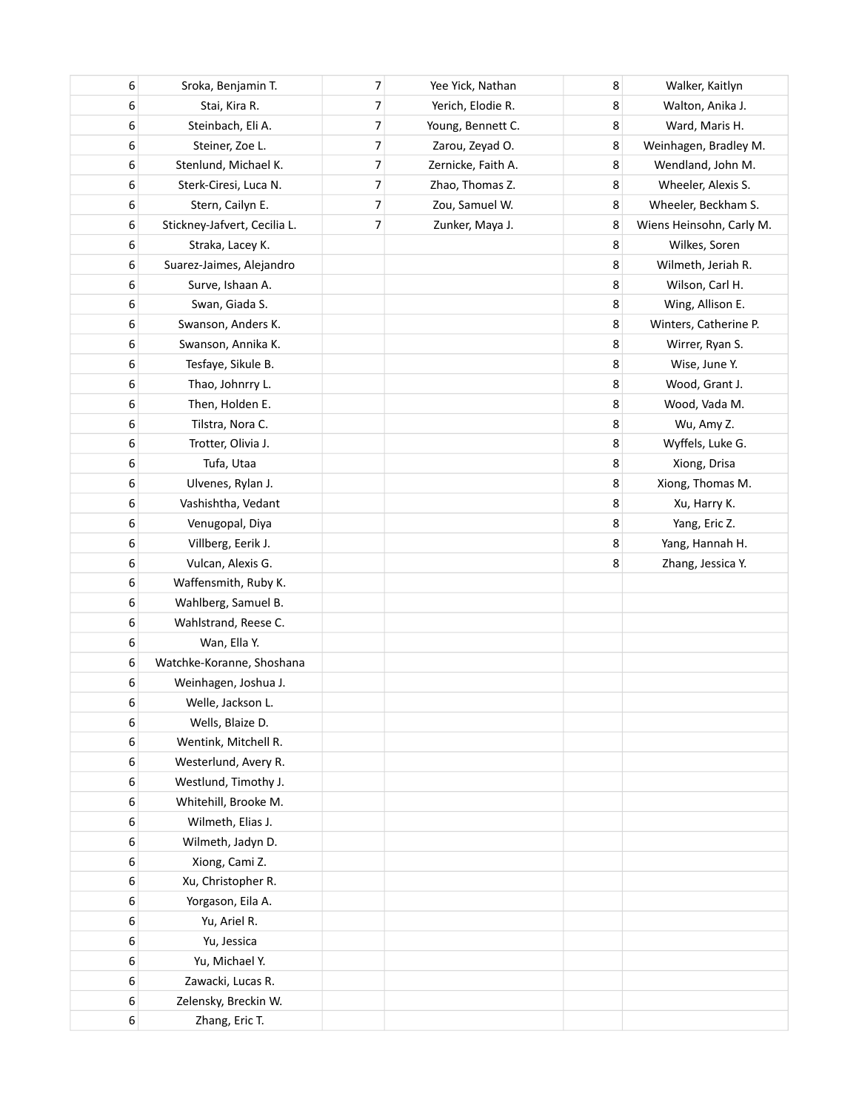| 6 | Sroka, Benjamin T.           | 7                        | Yee Yick, Nathan   | 8 | Walker, Kaitlyn          |
|---|------------------------------|--------------------------|--------------------|---|--------------------------|
| 6 | Stai, Kira R.                | $\overline{\mathcal{I}}$ | Yerich, Elodie R.  | 8 | Walton, Anika J.         |
| 6 | Steinbach, Eli A.            | $\overline{\mathcal{I}}$ | Young, Bennett C.  | 8 | Ward, Maris H.           |
| 6 | Steiner, Zoe L.              | 7                        | Zarou, Zeyad O.    | 8 | Weinhagen, Bradley M.    |
| 6 | Stenlund, Michael K.         | 7                        | Zernicke, Faith A. | 8 | Wendland, John M.        |
| 6 | Sterk-Ciresi, Luca N.        | 7                        | Zhao, Thomas Z.    | 8 | Wheeler, Alexis S.       |
| 6 | Stern, Cailyn E.             | 7                        | Zou, Samuel W.     | 8 | Wheeler, Beckham S.      |
| 6 | Stickney-Jafvert, Cecilia L. | $\overline{7}$           | Zunker, Maya J.    | 8 | Wiens Heinsohn, Carly M. |
| 6 | Straka, Lacey K.             |                          |                    | 8 | Wilkes, Soren            |
| 6 | Suarez-Jaimes, Alejandro     |                          |                    | 8 | Wilmeth, Jeriah R.       |
| 6 | Surve, Ishaan A.             |                          |                    | 8 | Wilson, Carl H.          |
| 6 | Swan, Giada S.               |                          |                    | 8 | Wing, Allison E.         |
| 6 | Swanson, Anders K.           |                          |                    | 8 | Winters, Catherine P.    |
| 6 | Swanson, Annika K.           |                          |                    | 8 | Wirrer, Ryan S.          |
| 6 | Tesfaye, Sikule B.           |                          |                    | 8 | Wise, June Y.            |
| 6 | Thao, Johnrry L.             |                          |                    | 8 | Wood, Grant J.           |
| 6 | Then, Holden E.              |                          |                    | 8 | Wood, Vada M.            |
| 6 | Tilstra, Nora C.             |                          |                    | 8 | Wu, Amy Z.               |
| 6 | Trotter, Olivia J.           |                          |                    | 8 | Wyffels, Luke G.         |
| 6 | Tufa, Utaa                   |                          |                    | 8 | Xiong, Drisa             |
| 6 | Ulvenes, Rylan J.            |                          |                    | 8 | Xiong, Thomas M.         |
| 6 | Vashishtha, Vedant           |                          |                    | 8 | Xu, Harry K.             |
| 6 | Venugopal, Diya              |                          |                    | 8 | Yang, Eric Z.            |
| 6 | Villberg, Eerik J.           |                          |                    | 8 | Yang, Hannah H.          |
| 6 | Vulcan, Alexis G.            |                          |                    | 8 | Zhang, Jessica Y.        |
| 6 | Waffensmith, Ruby K.         |                          |                    |   |                          |
| 6 | Wahlberg, Samuel B.          |                          |                    |   |                          |
| 6 | Wahlstrand, Reese C.         |                          |                    |   |                          |
| 6 | Wan, Ella Y.                 |                          |                    |   |                          |
| 6 | Watchke-Koranne, Shoshana    |                          |                    |   |                          |
| 6 | Weinhagen, Joshua J.         |                          |                    |   |                          |
| 6 | Welle, Jackson L.            |                          |                    |   |                          |
| 6 | Wells, Blaize D.             |                          |                    |   |                          |
| 6 | Wentink, Mitchell R.         |                          |                    |   |                          |
| 6 | Westerlund, Avery R.         |                          |                    |   |                          |
| 6 | Westlund, Timothy J.         |                          |                    |   |                          |
| 6 | Whitehill, Brooke M.         |                          |                    |   |                          |
| 6 | Wilmeth, Elias J.            |                          |                    |   |                          |
| 6 | Wilmeth, Jadyn D.            |                          |                    |   |                          |
| 6 | Xiong, Cami Z.               |                          |                    |   |                          |
| 6 | Xu, Christopher R.           |                          |                    |   |                          |
| 6 | Yorgason, Eila A.            |                          |                    |   |                          |
| 6 | Yu, Ariel R.                 |                          |                    |   |                          |
| 6 | Yu, Jessica                  |                          |                    |   |                          |
| 6 | Yu, Michael Y.               |                          |                    |   |                          |
| 6 | Zawacki, Lucas R.            |                          |                    |   |                          |
| 6 | Zelensky, Breckin W.         |                          |                    |   |                          |
| 6 | Zhang, Eric T.               |                          |                    |   |                          |
|   |                              |                          |                    |   |                          |